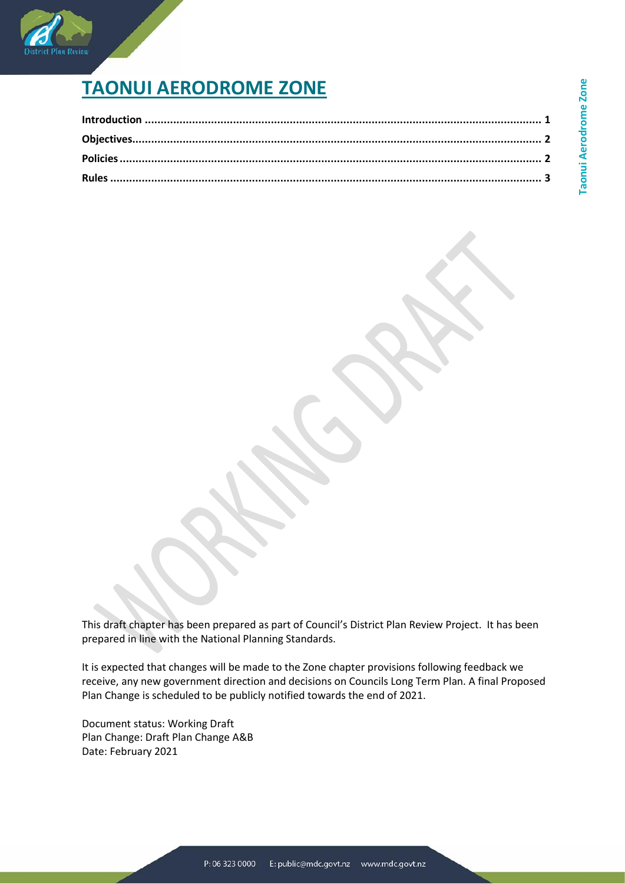

# **TAONUI AERODROME ZONE**

This draft chapter has been prepared as part of Council's District Plan Review Project.  It has been prepared in line with the National Planning Standards. 

It is expected that changes will be made to the Zone chapter provisions following feedback we receive, any new government direction and decisions on Councils Long Term Plan. A final Proposed Plan Change is scheduled to be publicly notified towards the end of 2021. 

Document status: Working Draft  Plan Change: Draft Plan Change A&B  Date: February 2021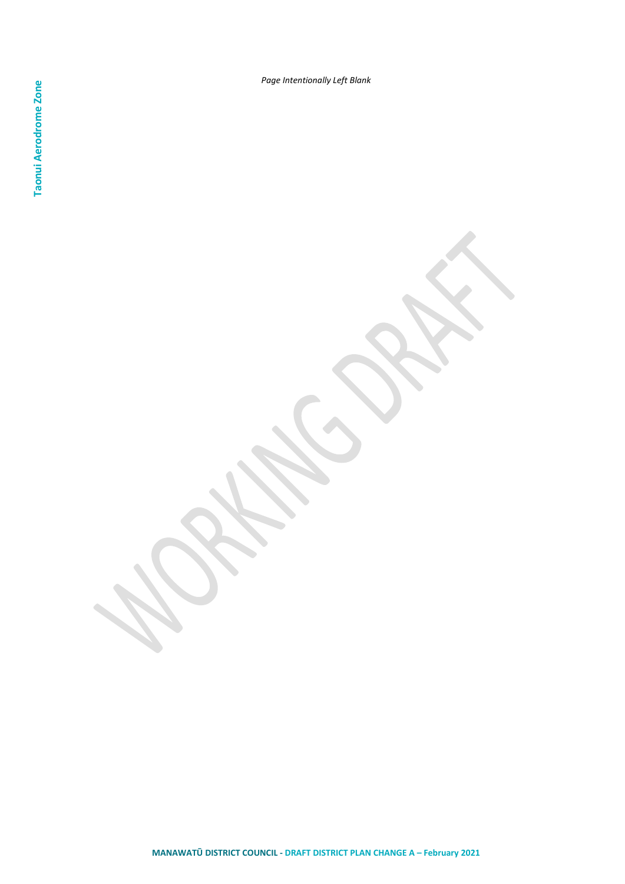*Page Intentionally Left Blank*

**MANAWATŪ DISTRICT COUNCIL - DRAFT DISTRICT PLAN CHANGE A – February 2021**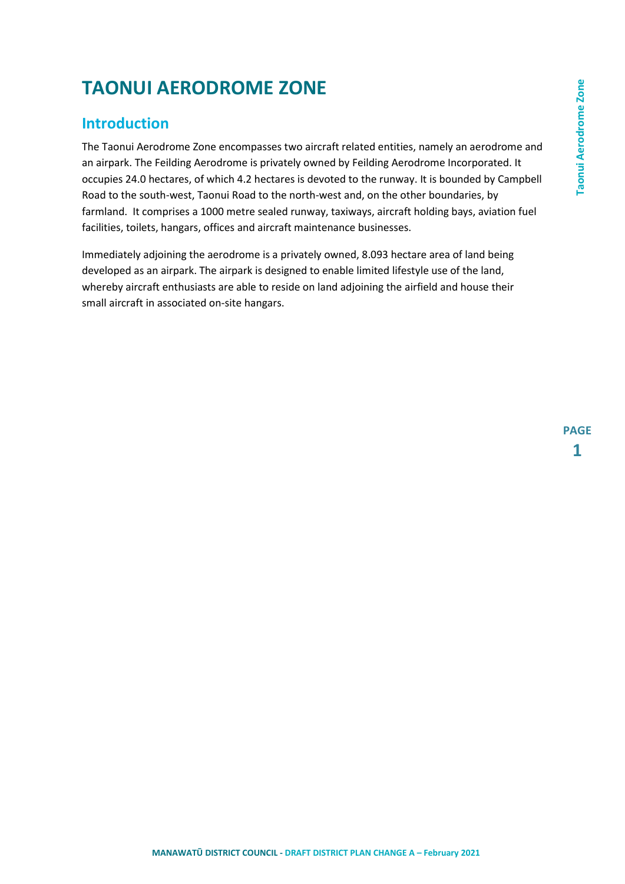# **TAONUI AERODROME ZONE**

# <span id="page-2-0"></span>**Introduction**

The Taonui Aerodrome Zone encompasses two aircraft related entities, namely an aerodrome and an airpark. The Feilding Aerodrome is privately owned by Feilding Aerodrome Incorporated. It occupies 24.0 hectares, of which 4.2 hectares is devoted to the runway. It is bounded by Campbell Road to the south-west, Taonui Road to the north-west and, on the other boundaries, by farmland. It comprises a 1000 metre sealed runway, taxiways, aircraft holding bays, aviation fuel facilities, toilets, hangars, offices and aircraft maintenance businesses.

Immediately adjoining the aerodrome is a privately owned, 8.093 hectare area of land being developed as an airpark. The airpark is designed to enable limited lifestyle use of the land, whereby aircraft enthusiasts are able to reside on land adjoining the airfield and house their small aircraft in associated on-site hangars.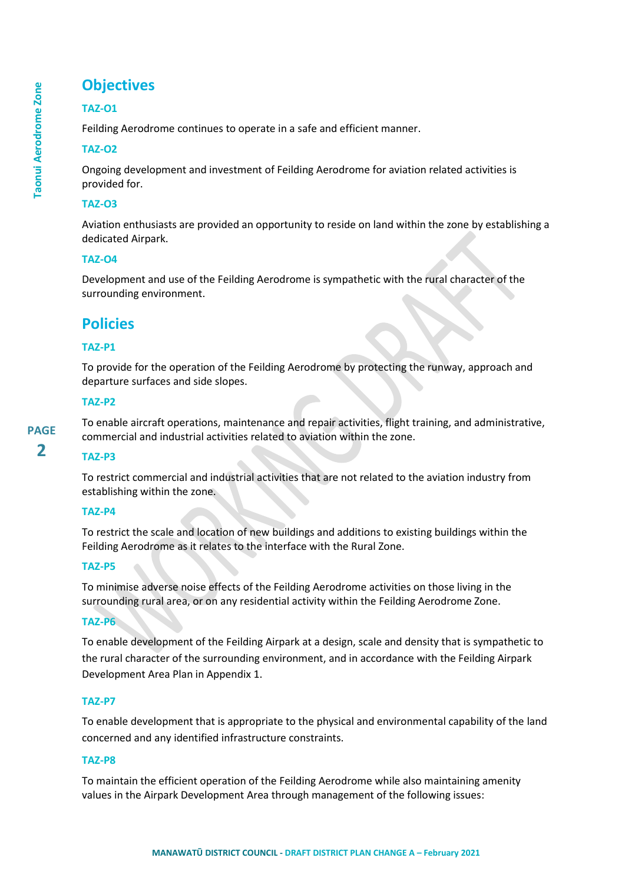# <span id="page-3-0"></span>**Objectives**

## **TAZ-O1**

Feilding Aerodrome continues to operate in a safe and efficient manner.

## **TAZ-O2**

Ongoing development and investment of Feilding Aerodrome for aviation related activities is provided for.

#### **TAZ-O3**

Aviation enthusiasts are provided an opportunity to reside on land within the zone by establishing a dedicated Airpark.

#### **TAZ-O4**

Development and use of the Feilding Aerodrome is sympathetic with the rural character of the surrounding environment.

# <span id="page-3-1"></span>**Policies**

## **TAZ-P1**

To provide for the operation of the Feilding Aerodrome by protecting the runway, approach and departure surfaces and side slopes.

#### **TAZ-P2**

**PAGE**  $\overline{\mathbf{2}}$ 

To enable aircraft operations, maintenance and repair activities, flight training, and administrative, commercial and industrial activities related to aviation within the zone.

# **TAZ-P3**

To restrict commercial and industrial activities that are not related to the aviation industry from establishing within the zone.

## **TAZ-P4**

To restrict the scale and location of new buildings and additions to existing buildings within the Feilding Aerodrome as it relates to the interface with the Rural Zone.

## **TAZ-P5**

To minimise adverse noise effects of the Feilding Aerodrome activities on those living in the surrounding rural area, or on any residential activity within the Feilding Aerodrome Zone.

#### **TAZ-P6**

To enable development of the Feilding Airpark at a design, scale and density that is sympathetic to the rural character of the surrounding environment, and in accordance with the Feilding Airpark Development Area Plan in Appendix 1.

## **TAZ-P7**

To enable development that is appropriate to the physical and environmental capability of the land concerned and any identified infrastructure constraints.

#### **TAZ-P8**

To maintain the efficient operation of the Feilding Aerodrome while also maintaining amenity values in the Airpark Development Area through management of the following issues: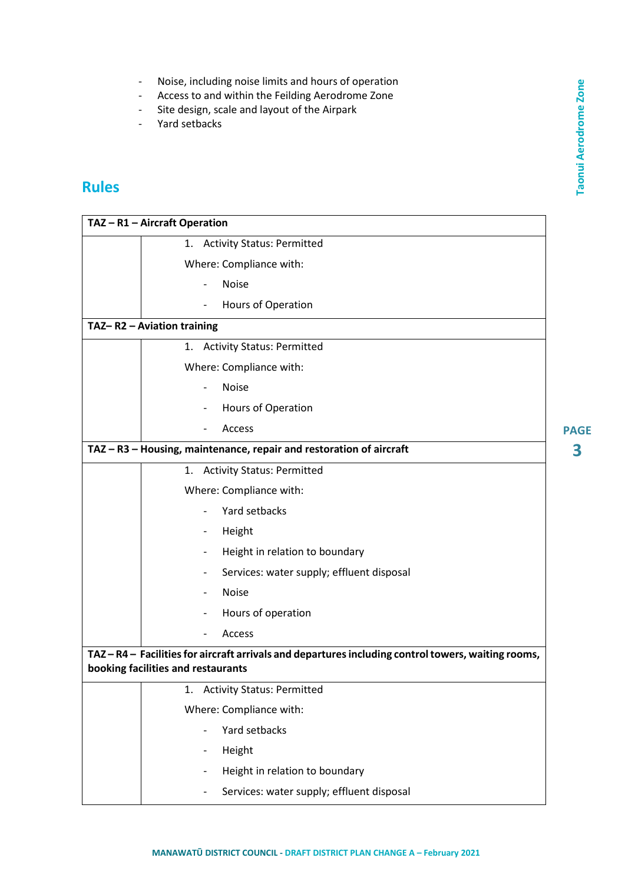**PAGE 3**

- Noise, including noise limits and hours of operation
- Access to and within the Feilding Aerodrome Zone
- Site design, scale and layout of the Airpark
- Yard setbacks

# <span id="page-4-0"></span>**Rules**

| TAZ - R1 - Aircraft Operation                                                                                                         |  |
|---------------------------------------------------------------------------------------------------------------------------------------|--|
| 1. Activity Status: Permitted                                                                                                         |  |
| Where: Compliance with:                                                                                                               |  |
| <b>Noise</b>                                                                                                                          |  |
| Hours of Operation                                                                                                                    |  |
| TAZ-R2 - Aviation training                                                                                                            |  |
| <b>Activity Status: Permitted</b><br>1.                                                                                               |  |
| Where: Compliance with:                                                                                                               |  |
| <b>Noise</b>                                                                                                                          |  |
| Hours of Operation                                                                                                                    |  |
| Access                                                                                                                                |  |
| TAZ - R3 - Housing, maintenance, repair and restoration of aircraft                                                                   |  |
| <b>Activity Status: Permitted</b><br>1.                                                                                               |  |
| Where: Compliance with:                                                                                                               |  |
| Yard setbacks                                                                                                                         |  |
| Height<br>-                                                                                                                           |  |
| Height in relation to boundary<br>-                                                                                                   |  |
| Services: water supply; effluent disposal                                                                                             |  |
| <b>Noise</b>                                                                                                                          |  |
| Hours of operation                                                                                                                    |  |
| Access                                                                                                                                |  |
| TAZ-R4-Facilities for aircraft arrivals and departures including control towers, waiting rooms,<br>booking facilities and restaurants |  |
| <b>Activity Status: Permitted</b><br>1.                                                                                               |  |
| Where: Compliance with:                                                                                                               |  |
| Yard setbacks<br>$\overline{\phantom{0}}$                                                                                             |  |
| Height<br>$\overline{\phantom{0}}$                                                                                                    |  |
| Height in relation to boundary                                                                                                        |  |
| Services: water supply; effluent disposal                                                                                             |  |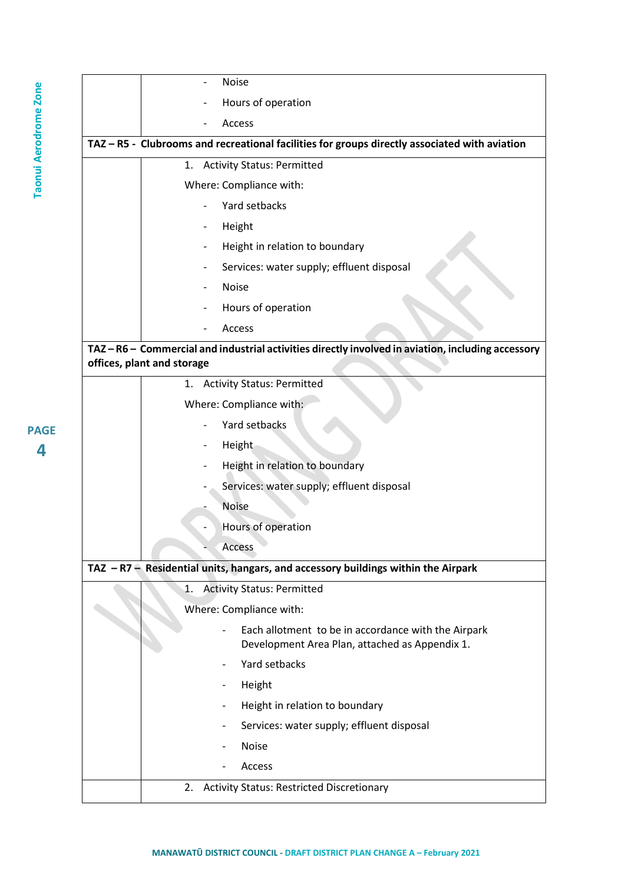|                            | <b>Noise</b>                                                                                          |
|----------------------------|-------------------------------------------------------------------------------------------------------|
|                            | Hours of operation                                                                                    |
|                            | Access                                                                                                |
|                            | TAZ - R5 - Clubrooms and recreational facilities for groups directly associated with aviation         |
|                            | <b>Activity Status: Permitted</b><br>1.                                                               |
|                            | Where: Compliance with:                                                                               |
|                            | Yard setbacks                                                                                         |
|                            | Height<br>$\overline{\phantom{a}}$                                                                    |
|                            | Height in relation to boundary                                                                        |
|                            | Services: water supply; effluent disposal                                                             |
|                            | <b>Noise</b>                                                                                          |
|                            | Hours of operation                                                                                    |
|                            | Access                                                                                                |
| offices, plant and storage | TAZ-R6- Commercial and industrial activities directly involved in aviation, including accessory       |
|                            | <b>Activity Status: Permitted</b><br>1.                                                               |
|                            |                                                                                                       |
|                            | Where: Compliance with:                                                                               |
|                            | Yard setbacks                                                                                         |
|                            | Height                                                                                                |
|                            | Height in relation to boundary                                                                        |
|                            | Services: water supply; effluent disposal                                                             |
|                            | <b>Noise</b>                                                                                          |
|                            | Hours of operation                                                                                    |
|                            | Access                                                                                                |
|                            | TAZ $-R7 - Residental$ units, hangars, and accessory buildings within the Airpark                     |
|                            | <b>Activity Status: Permitted</b><br>1.                                                               |
|                            | Where: Compliance with:                                                                               |
|                            | Each allotment to be in accordance with the Airpark<br>Development Area Plan, attached as Appendix 1. |
|                            | Yard setbacks                                                                                         |
|                            | Height                                                                                                |
|                            | Height in relation to boundary                                                                        |
|                            | Services: water supply; effluent disposal                                                             |
|                            | <b>Noise</b>                                                                                          |

**PAGE**  $\overline{\mathbf{4}}$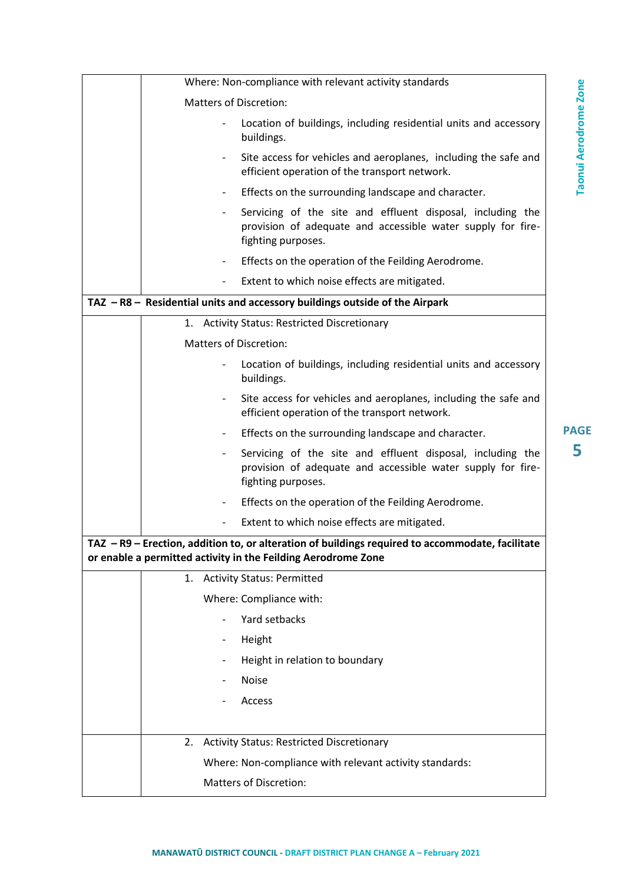|                          | Where: Non-compliance with relevant activity standards                                                                                                            |
|--------------------------|-------------------------------------------------------------------------------------------------------------------------------------------------------------------|
|                          | <b>Matters of Discretion:</b>                                                                                                                                     |
|                          | Location of buildings, including residential units and accessory<br>buildings.                                                                                    |
|                          | Site access for vehicles and aeroplanes, including the safe and<br>efficient operation of the transport network.                                                  |
| $\blacksquare$           | Effects on the surrounding landscape and character.                                                                                                               |
|                          | Servicing of the site and effluent disposal, including the<br>provision of adequate and accessible water supply for fire-<br>fighting purposes.                   |
|                          | Effects on the operation of the Feilding Aerodrome.                                                                                                               |
|                          | Extent to which noise effects are mitigated.                                                                                                                      |
|                          | TAZ - R8 - Residential units and accessory buildings outside of the Airpark                                                                                       |
|                          | 1. Activity Status: Restricted Discretionary                                                                                                                      |
|                          | <b>Matters of Discretion:</b>                                                                                                                                     |
|                          | Location of buildings, including residential units and accessory<br>buildings.                                                                                    |
| $\overline{\phantom{a}}$ | Site access for vehicles and aeroplanes, including the safe and<br>efficient operation of the transport network.                                                  |
|                          | Effects on the surrounding landscape and character.                                                                                                               |
| $\overline{\phantom{a}}$ | Servicing of the site and effluent disposal, including the<br>provision of adequate and accessible water supply for fire-<br>fighting purposes.                   |
|                          | Effects on the operation of the Feilding Aerodrome.                                                                                                               |
|                          | Extent to which noise effects are mitigated.                                                                                                                      |
|                          | TAZ - R9 - Erection. addition to. or alteration of buildings required to accommodate. facilitate<br>or enable a permitted activity in the Feilding Aerodrome Zone |
| 1.                       | <b>Activity Status: Permitted</b>                                                                                                                                 |
|                          | Where: Compliance with:                                                                                                                                           |
|                          | Yard setbacks                                                                                                                                                     |
|                          | Height                                                                                                                                                            |
|                          | Height in relation to boundary                                                                                                                                    |
|                          | Noise                                                                                                                                                             |
|                          | Access                                                                                                                                                            |
| 2.                       | <b>Activity Status: Restricted Discretionary</b>                                                                                                                  |
|                          | Where: Non-compliance with relevant activity standards:                                                                                                           |

Matters of Discretion: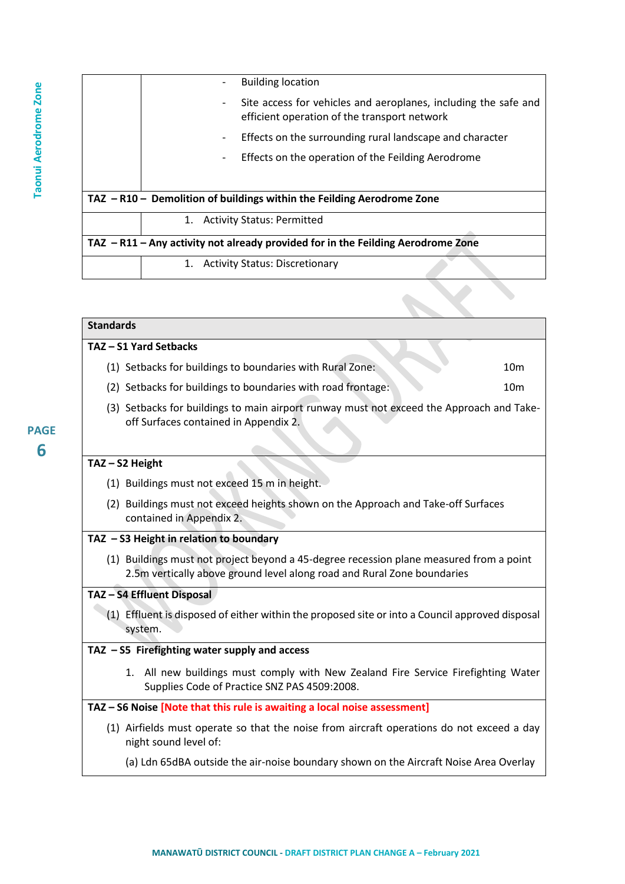| <b>Activity Status: Discretionary</b><br>1.                                                                     |
|-----------------------------------------------------------------------------------------------------------------|
| TAZ - R11 - Any activity not already provided for in the Feilding Aerodrome Zone                                |
| 1. Activity Status: Permitted                                                                                   |
| TAZ - R10 - Demolition of buildings within the Feilding Aerodrome Zone                                          |
|                                                                                                                 |
| Effects on the operation of the Feilding Aerodrome                                                              |
| Effects on the surrounding rural landscape and character                                                        |
| Site access for vehicles and aeroplanes, including the safe and<br>efficient operation of the transport network |
| <b>Building location</b>                                                                                        |

| TAZ-S1 Yard Setbacks<br>(1) Setbacks for buildings to boundaries with Rural Zone:<br>10 <sub>m</sub><br>(2) Setbacks for buildings to boundaries with road frontage:<br>10 <sub>m</sub><br>(3) Setbacks for buildings to main airport runway must not exceed the Approach and Take-<br>off Surfaces contained in Appendix 2.<br>TAZ-S2 Height<br>(1) Buildings must not exceed 15 m in height.<br>(2) Buildings must not exceed heights shown on the Approach and Take-off Surfaces<br>contained in Appendix 2.<br>TAZ - S3 Height in relation to boundary<br>(1) Buildings must not project beyond a 45-degree recession plane measured from a point<br>2.5m vertically above ground level along road and Rural Zone boundaries<br>TAZ - S4 Effluent Disposal<br>(1) Effluent is disposed of either within the proposed site or into a Council approved disposal<br>system.<br>$TAZ - S5$ Firefighting water supply and access<br>All new buildings must comply with New Zealand Fire Service Firefighting Water<br>1.<br>Supplies Code of Practice SNZ PAS 4509:2008.<br>TAZ - S6 Noise [Note that this rule is awaiting a local noise assessment]<br>(1) Airfields must operate so that the noise from aircraft operations do not exceed a day<br>night sound level of:<br>(a) Ldn 65dBA outside the air-noise boundary shown on the Aircraft Noise Area Overlay | <b>Standards</b> |  |
|---------------------------------------------------------------------------------------------------------------------------------------------------------------------------------------------------------------------------------------------------------------------------------------------------------------------------------------------------------------------------------------------------------------------------------------------------------------------------------------------------------------------------------------------------------------------------------------------------------------------------------------------------------------------------------------------------------------------------------------------------------------------------------------------------------------------------------------------------------------------------------------------------------------------------------------------------------------------------------------------------------------------------------------------------------------------------------------------------------------------------------------------------------------------------------------------------------------------------------------------------------------------------------------------------------------------------------------------------------------------|------------------|--|
|                                                                                                                                                                                                                                                                                                                                                                                                                                                                                                                                                                                                                                                                                                                                                                                                                                                                                                                                                                                                                                                                                                                                                                                                                                                                                                                                                                     |                  |  |
|                                                                                                                                                                                                                                                                                                                                                                                                                                                                                                                                                                                                                                                                                                                                                                                                                                                                                                                                                                                                                                                                                                                                                                                                                                                                                                                                                                     |                  |  |
|                                                                                                                                                                                                                                                                                                                                                                                                                                                                                                                                                                                                                                                                                                                                                                                                                                                                                                                                                                                                                                                                                                                                                                                                                                                                                                                                                                     |                  |  |
|                                                                                                                                                                                                                                                                                                                                                                                                                                                                                                                                                                                                                                                                                                                                                                                                                                                                                                                                                                                                                                                                                                                                                                                                                                                                                                                                                                     |                  |  |
|                                                                                                                                                                                                                                                                                                                                                                                                                                                                                                                                                                                                                                                                                                                                                                                                                                                                                                                                                                                                                                                                                                                                                                                                                                                                                                                                                                     |                  |  |
|                                                                                                                                                                                                                                                                                                                                                                                                                                                                                                                                                                                                                                                                                                                                                                                                                                                                                                                                                                                                                                                                                                                                                                                                                                                                                                                                                                     |                  |  |
|                                                                                                                                                                                                                                                                                                                                                                                                                                                                                                                                                                                                                                                                                                                                                                                                                                                                                                                                                                                                                                                                                                                                                                                                                                                                                                                                                                     |                  |  |
|                                                                                                                                                                                                                                                                                                                                                                                                                                                                                                                                                                                                                                                                                                                                                                                                                                                                                                                                                                                                                                                                                                                                                                                                                                                                                                                                                                     |                  |  |
|                                                                                                                                                                                                                                                                                                                                                                                                                                                                                                                                                                                                                                                                                                                                                                                                                                                                                                                                                                                                                                                                                                                                                                                                                                                                                                                                                                     |                  |  |
|                                                                                                                                                                                                                                                                                                                                                                                                                                                                                                                                                                                                                                                                                                                                                                                                                                                                                                                                                                                                                                                                                                                                                                                                                                                                                                                                                                     |                  |  |
|                                                                                                                                                                                                                                                                                                                                                                                                                                                                                                                                                                                                                                                                                                                                                                                                                                                                                                                                                                                                                                                                                                                                                                                                                                                                                                                                                                     |                  |  |
|                                                                                                                                                                                                                                                                                                                                                                                                                                                                                                                                                                                                                                                                                                                                                                                                                                                                                                                                                                                                                                                                                                                                                                                                                                                                                                                                                                     |                  |  |
|                                                                                                                                                                                                                                                                                                                                                                                                                                                                                                                                                                                                                                                                                                                                                                                                                                                                                                                                                                                                                                                                                                                                                                                                                                                                                                                                                                     |                  |  |
|                                                                                                                                                                                                                                                                                                                                                                                                                                                                                                                                                                                                                                                                                                                                                                                                                                                                                                                                                                                                                                                                                                                                                                                                                                                                                                                                                                     |                  |  |
|                                                                                                                                                                                                                                                                                                                                                                                                                                                                                                                                                                                                                                                                                                                                                                                                                                                                                                                                                                                                                                                                                                                                                                                                                                                                                                                                                                     |                  |  |
|                                                                                                                                                                                                                                                                                                                                                                                                                                                                                                                                                                                                                                                                                                                                                                                                                                                                                                                                                                                                                                                                                                                                                                                                                                                                                                                                                                     |                  |  |

6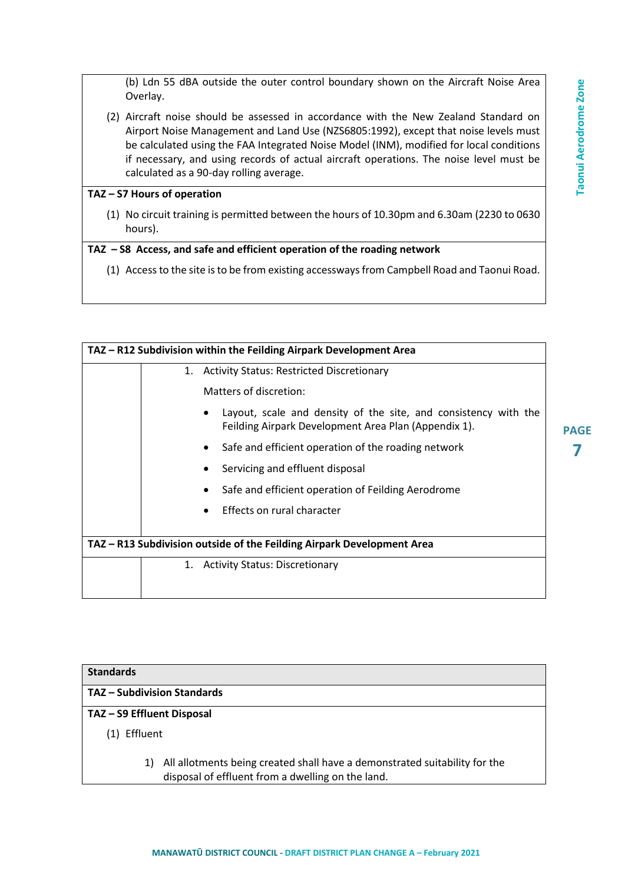(b) Ldn 55 dBA outside the outer control boundary shown on the Aircraft Noise Area Overlay.

(2) Aircraft noise should be assessed in accordance with the New Zealand Standard on Airport Noise Management and Land Use (NZS6805:1992), except that noise levels must be calculated using the FAA Integrated Noise Model (INM), modified for local conditions if necessary, and using records of actual aircraft operations. The noise level must be calculated as a 90-day rolling average.

#### **TAZ – S7 Hours of operation**

(1) No circuit training is permitted between the hours of 10.30pm and 6.30am (2230 to 0630 hours).

#### **TAZ – S8 Access, and safe and efficient operation of the roading network**

(1) Access to the site is to be from existing accessways from Campbell Road and Taonui Road.

|    | TAZ - R12 Subdivision within the Feilding Airpark Development Area                                                      |
|----|-------------------------------------------------------------------------------------------------------------------------|
| 1. | <b>Activity Status: Restricted Discretionary</b>                                                                        |
|    | Matters of discretion:                                                                                                  |
|    | Layout, scale and density of the site, and consistency with the<br>Feilding Airpark Development Area Plan (Appendix 1). |
|    | Safe and efficient operation of the roading network                                                                     |
|    | Servicing and effluent disposal                                                                                         |
|    | Safe and efficient operation of Feilding Aerodrome                                                                      |
|    | Effects on rural character                                                                                              |
|    | TAZ – R13 Subdivision outside of the Feilding Airpark Development Area                                                  |
|    | 1. Activity Status: Discretionary                                                                                       |

| <b>Standards</b>                 |                                                                                                                                 |
|----------------------------------|---------------------------------------------------------------------------------------------------------------------------------|
| <b>TAZ-Subdivision Standards</b> |                                                                                                                                 |
| TAZ - S9 Effluent Disposal       |                                                                                                                                 |
| Effluent<br>(1)                  |                                                                                                                                 |
| 1)                               | All allotments being created shall have a demonstrated suitability for the<br>disposal of effluent from a dwelling on the land. |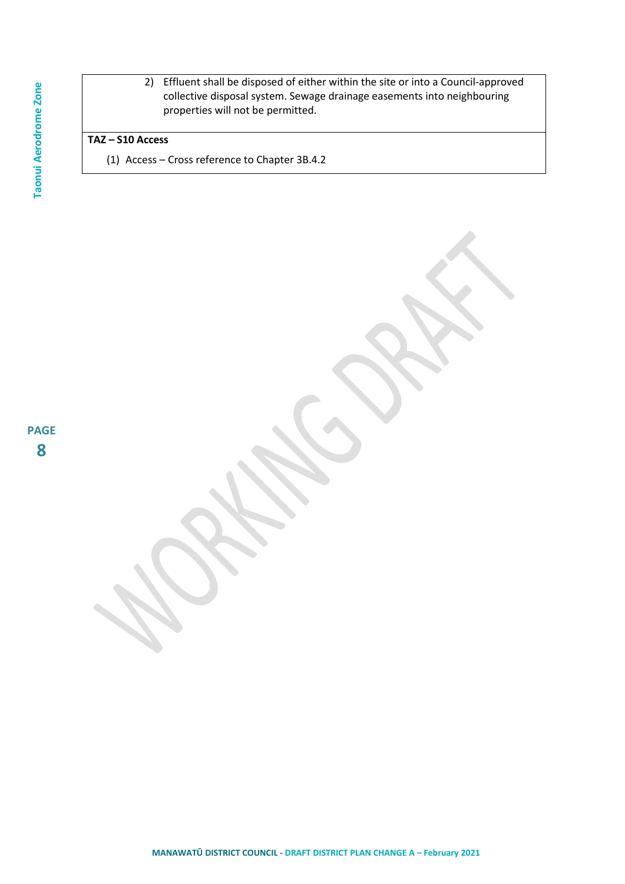2) Effluent shall be disposed of either within the site or into a Council-approved collective disposal system. Sewage drainage easements into neighbouring properties will not be permitted.

# **TAZ – S10 Access**

(1) Access – Cross reference to Chapter 3B.4.2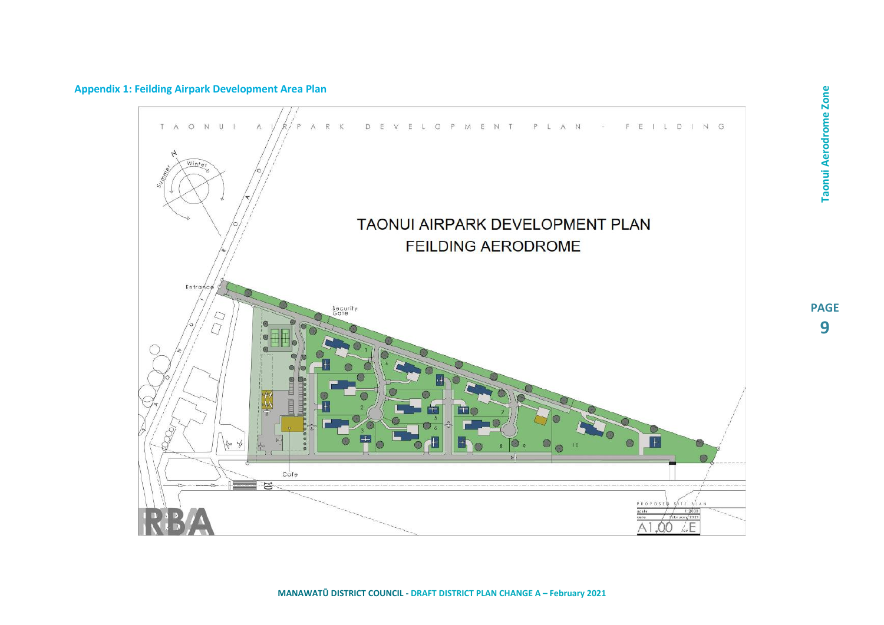**Appendix 1: Feilding Airpark Development Area Plan** 



Taonui Aerodrome Zone **Taonui Aerodrome Zone**